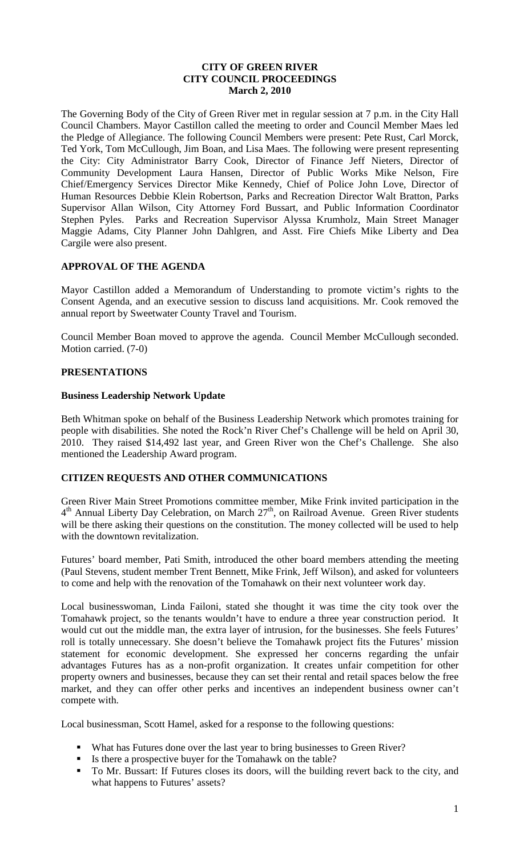### **CITY OF GREEN RIVER CITY COUNCIL PROCEEDINGS March 2, 2010**

The Governing Body of the City of Green River met in regular session at 7 p.m. in the City Hall Council Chambers. Mayor Castillon called the meeting to order and Council Member Maes led the Pledge of Allegiance. The following Council Members were present: Pete Rust, Carl Morck, Ted York, Tom McCullough, Jim Boan, and Lisa Maes. The following were present representing the City: City Administrator Barry Cook, Director of Finance Jeff Nieters, Director of Community Development Laura Hansen, Director of Public Works Mike Nelson, Fire Chief/Emergency Services Director Mike Kennedy, Chief of Police John Love, Director of Human Resources Debbie Klein Robertson, Parks and Recreation Director Walt Bratton, Parks Supervisor Allan Wilson, City Attorney Ford Bussart, and Public Information Coordinator Stephen Pyles. Parks and Recreation Supervisor Alyssa Krumholz, Main Street Manager Maggie Adams, City Planner John Dahlgren, and Asst. Fire Chiefs Mike Liberty and Dea Cargile were also present.

## **APPROVAL OF THE AGENDA**

Mayor Castillon added a Memorandum of Understanding to promote victim's rights to the Consent Agenda, and an executive session to discuss land acquisitions. Mr. Cook removed the annual report by Sweetwater County Travel and Tourism.

Council Member Boan moved to approve the agenda. Council Member McCullough seconded. Motion carried. (7-0)

# **PRESENTATIONS**

#### **Business Leadership Network Update**

Beth Whitman spoke on behalf of the Business Leadership Network which promotes training for people with disabilities. She noted the Rock'n River Chef's Challenge will be held on April 30, 2010. They raised \$14,492 last year, and Green River won the Chef's Challenge. She also mentioned the Leadership Award program.

# **CITIZEN REQUESTS AND OTHER COMMUNICATIONS**

Green River Main Street Promotions committee member, Mike Frink invited participation in the  $4<sup>th</sup>$  Annual Liberty Day Celebration, on March  $27<sup>th</sup>$ , on Railroad Avenue. Green River students will be there asking their questions on the constitution. The money collected will be used to help with the downtown revitalization.

Futures' board member, Pati Smith, introduced the other board members attending the meeting (Paul Stevens, student member Trent Bennett, Mike Frink, Jeff Wilson), and asked for volunteers to come and help with the renovation of the Tomahawk on their next volunteer work day.

Local businesswoman, Linda Failoni, stated she thought it was time the city took over the Tomahawk project, so the tenants wouldn't have to endure a three year construction period. It would cut out the middle man, the extra layer of intrusion, for the businesses. She feels Futures' roll is totally unnecessary. She doesn't believe the Tomahawk project fits the Futures' mission statement for economic development. She expressed her concerns regarding the unfair advantages Futures has as a non-profit organization. It creates unfair competition for other property owners and businesses, because they can set their rental and retail spaces below the free market, and they can offer other perks and incentives an independent business owner can't compete with.

Local businessman, Scott Hamel, asked for a response to the following questions:

- What has Futures done over the last year to bring businesses to Green River?
- Is there a prospective buyer for the Tomahawk on the table?
- To Mr. Bussart: If Futures closes its doors, will the building revert back to the city, and what happens to Futures' assets?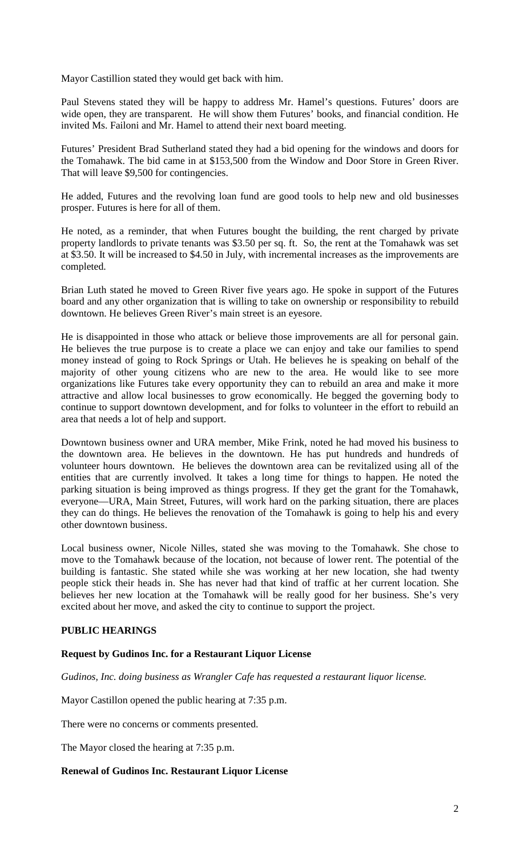Mayor Castillion stated they would get back with him.

Paul Stevens stated they will be happy to address Mr. Hamel's questions. Futures' doors are wide open, they are transparent. He will show them Futures' books, and financial condition. He invited Ms. Failoni and Mr. Hamel to attend their next board meeting.

Futures' President Brad Sutherland stated they had a bid opening for the windows and doors for the Tomahawk. The bid came in at \$153,500 from the Window and Door Store in Green River. That will leave \$9,500 for contingencies.

He added, Futures and the revolving loan fund are good tools to help new and old businesses prosper. Futures is here for all of them.

He noted, as a reminder, that when Futures bought the building, the rent charged by private property landlords to private tenants was \$3.50 per sq. ft. So, the rent at the Tomahawk was set at \$3.50. It will be increased to \$4.50 in July, with incremental increases as the improvements are completed.

Brian Luth stated he moved to Green River five years ago. He spoke in support of the Futures board and any other organization that is willing to take on ownership or responsibility to rebuild downtown. He believes Green River's main street is an eyesore.

He is disappointed in those who attack or believe those improvements are all for personal gain. He believes the true purpose is to create a place we can enjoy and take our families to spend money instead of going to Rock Springs or Utah. He believes he is speaking on behalf of the majority of other young citizens who are new to the area. He would like to see more organizations like Futures take every opportunity they can to rebuild an area and make it more attractive and allow local businesses to grow economically. He begged the governing body to continue to support downtown development, and for folks to volunteer in the effort to rebuild an area that needs a lot of help and support.

Downtown business owner and URA member, Mike Frink, noted he had moved his business to the downtown area. He believes in the downtown. He has put hundreds and hundreds of volunteer hours downtown. He believes the downtown area can be revitalized using all of the entities that are currently involved. It takes a long time for things to happen. He noted the parking situation is being improved as things progress. If they get the grant for the Tomahawk, everyone—URA, Main Street, Futures, will work hard on the parking situation, there are places they can do things. He believes the renovation of the Tomahawk is going to help his and every other downtown business.

Local business owner, Nicole Nilles, stated she was moving to the Tomahawk. She chose to move to the Tomahawk because of the location, not because of lower rent. The potential of the building is fantastic. She stated while she was working at her new location, she had twenty people stick their heads in. She has never had that kind of traffic at her current location. She believes her new location at the Tomahawk will be really good for her business. She's very excited about her move, and asked the city to continue to support the project.

#### **PUBLIC HEARINGS**

#### **Request by Gudinos Inc. for a Restaurant Liquor License**

*Gudinos, Inc. doing business as Wrangler Cafe has requested a restaurant liquor license.*

Mayor Castillon opened the public hearing at 7:35 p.m.

There were no concerns or comments presented.

The Mayor closed the hearing at 7:35 p.m.

#### **Renewal of Gudinos Inc. Restaurant Liquor License**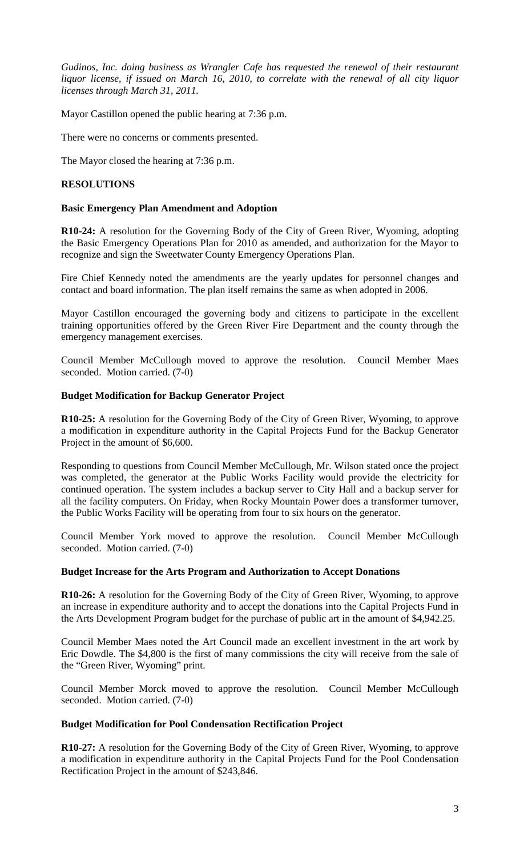*Gudinos, Inc. doing business as Wrangler Cafe has requested the renewal of their restaurant liquor license, if issued on March 16, 2010, to correlate with the renewal of all city liquor licenses through March 31, 2011.*

Mayor Castillon opened the public hearing at 7:36 p.m.

There were no concerns or comments presented.

The Mayor closed the hearing at 7:36 p.m.

### **RESOLUTIONS**

#### **Basic Emergency Plan Amendment and Adoption**

**R10-24:** A resolution for the Governing Body of the City of Green River, Wyoming, adopting the Basic Emergency Operations Plan for 2010 as amended, and authorization for the Mayor to recognize and sign the Sweetwater County Emergency Operations Plan.

Fire Chief Kennedy noted the amendments are the yearly updates for personnel changes and contact and board information. The plan itself remains the same as when adopted in 2006.

Mayor Castillon encouraged the governing body and citizens to participate in the excellent training opportunities offered by the Green River Fire Department and the county through the emergency management exercises.

Council Member McCullough moved to approve the resolution. Council Member Maes seconded. Motion carried. (7-0)

#### **Budget Modification for Backup Generator Project**

**R10-25:** A resolution for the Governing Body of the City of Green River, Wyoming, to approve a modification in expenditure authority in the Capital Projects Fund for the Backup Generator Project in the amount of \$6,600.

Responding to questions from Council Member McCullough, Mr. Wilson stated once the project was completed, the generator at the Public Works Facility would provide the electricity for continued operation. The system includes a backup server to City Hall and a backup server for all the facility computers. On Friday, when Rocky Mountain Power does a transformer turnover, the Public Works Facility will be operating from four to six hours on the generator.

Council Member York moved to approve the resolution. Council Member McCullough seconded. Motion carried. (7-0)

#### **Budget Increase for the Arts Program and Authorization to Accept Donations**

**R10-26:** A resolution for the Governing Body of the City of Green River, Wyoming, to approve an increase in expenditure authority and to accept the donations into the Capital Projects Fund in the Arts Development Program budget for the purchase of public art in the amount of \$4,942.25.

Council Member Maes noted the Art Council made an excellent investment in the art work by Eric Dowdle. The \$4,800 is the first of many commissions the city will receive from the sale of the "Green River, Wyoming" print.

Council Member Morck moved to approve the resolution. Council Member McCullough seconded. Motion carried. (7-0)

### **Budget Modification for Pool Condensation Rectification Project**

**R10-27:** A resolution for the Governing Body of the City of Green River, Wyoming, to approve a modification in expenditure authority in the Capital Projects Fund for the Pool Condensation Rectification Project in the amount of \$243,846.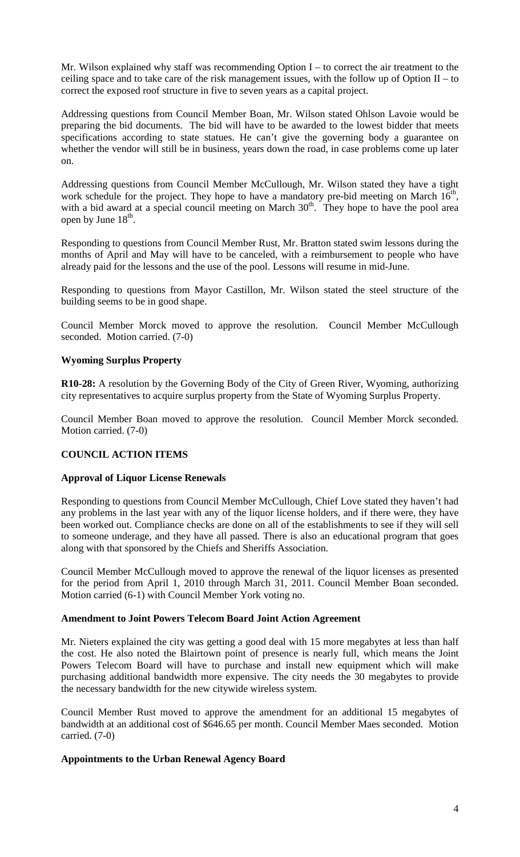Mr. Wilson explained why staff was recommending Option I – to correct the air treatment to the ceiling space and to take care of the risk management issues, with the follow up of Option  $II -$  to correct the exposed roof structure in five to seven years as a capital project.

Addressing questions from Council Member Boan, Mr. Wilson stated Ohlson Lavoie would be preparing the bid documents. The bid will have to be awarded to the lowest bidder that meets specifications according to state statues. He can't give the governing body a guarantee on whether the vendor will still be in business, years down the road, in case problems come up later on.

Addressing questions from Council Member McCullough, Mr. Wilson stated they have a tight work schedule for the project. They hope to have a mandatory pre-bid meeting on March  $16<sup>th</sup>$ , with a bid award at a special council meeting on March  $30<sup>th</sup>$ . They hope to have the pool area open by June  $18<sup>th</sup>$ .

Responding to questions from Council Member Rust, Mr. Bratton stated swim lessons during the months of April and May will have to be canceled, with a reimbursement to people who have already paid for the lessons and the use of the pool. Lessons will resume in mid-June.

Responding to questions from Mayor Castillon, Mr. Wilson stated the steel structure of the building seems to be in good shape.

Council Member Morck moved to approve the resolution. Council Member McCullough seconded. Motion carried. (7-0)

## **Wyoming Surplus Property**

**R10-28:** A resolution by the Governing Body of the City of Green River, Wyoming, authorizing city representatives to acquire surplus property from the State of Wyoming Surplus Property.

Council Member Boan moved to approve the resolution. Council Member Morck seconded. Motion carried. (7-0)

# **COUNCIL ACTION ITEMS**

#### **Approval of Liquor License Renewals**

Responding to questions from Council Member McCullough, Chief Love stated they haven't had any problems in the last year with any of the liquor license holders, and if there were, they have been worked out. Compliance checks are done on all of the establishments to see if they will sell to someone underage, and they have all passed. There is also an educational program that goes along with that sponsored by the Chiefs and Sheriffs Association.

Council Member McCullough moved to approve the renewal of the liquor licenses as presented for the period from April 1, 2010 through March 31, 2011. Council Member Boan seconded. Motion carried (6-1) with Council Member York voting no.

#### **Amendment to Joint Powers Telecom Board Joint Action Agreement**

Mr. Nieters explained the city was getting a good deal with 15 more megabytes at less than half the cost. He also noted the Blairtown point of presence is nearly full, which means the Joint Powers Telecom Board will have to purchase and install new equipment which will make purchasing additional bandwidth more expensive. The city needs the 30 megabytes to provide the necessary bandwidth for the new citywide wireless system.

Council Member Rust moved to approve the amendment for an additional 15 megabytes of bandwidth at an additional cost of \$646.65 per month. Council Member Maes seconded. Motion carried. (7-0)

# **Appointments to the Urban Renewal Agency Board**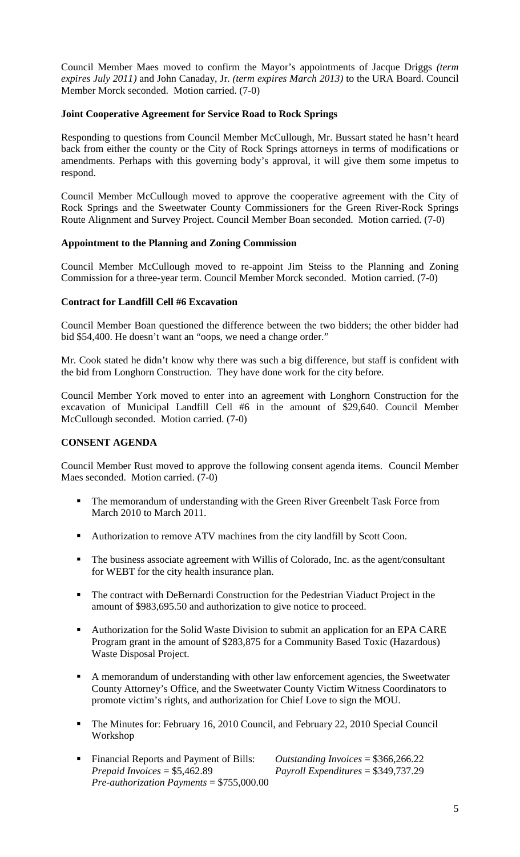Council Member Maes moved to confirm the Mayor's appointments of Jacque Driggs *(term expires July 2011)* and John Canaday, Jr. *(term expires March 2013)* to the URA Board. Council Member Morck seconded. Motion carried. (7-0)

### **Joint Cooperative Agreement for Service Road to Rock Springs**

Responding to questions from Council Member McCullough, Mr. Bussart stated he hasn't heard back from either the county or the City of Rock Springs attorneys in terms of modifications or amendments. Perhaps with this governing body's approval, it will give them some impetus to respond.

Council Member McCullough moved to approve the cooperative agreement with the City of Rock Springs and the Sweetwater County Commissioners for the Green River-Rock Springs Route Alignment and Survey Project. Council Member Boan seconded. Motion carried. (7-0)

#### **Appointment to the Planning and Zoning Commission**

Council Member McCullough moved to re-appoint Jim Steiss to the Planning and Zoning Commission for a three-year term. Council Member Morck seconded. Motion carried. (7-0)

# **Contract for Landfill Cell #6 Excavation**

Council Member Boan questioned the difference between the two bidders; the other bidder had bid \$54,400. He doesn't want an "oops, we need a change order."

Mr. Cook stated he didn't know why there was such a big difference, but staff is confident with the bid from Longhorn Construction. They have done work for the city before.

Council Member York moved to enter into an agreement with Longhorn Construction for the excavation of Municipal Landfill Cell #6 in the amount of \$29,640. Council Member McCullough seconded. Motion carried. (7-0)

### **CONSENT AGENDA**

Council Member Rust moved to approve the following consent agenda items. Council Member Maes seconded. Motion carried. (7-0)

- **The memorandum of understanding with the Green River Greenbelt Task Force from** March 2010 to March 2011.
- Authorization to remove ATV machines from the city landfill by Scott Coon.
- The business associate agreement with Willis of Colorado, Inc. as the agent/consultant for WEBT for the city health insurance plan.
- The contract with DeBernardi Construction for the Pedestrian Viaduct Project in the amount of \$983,695.50 and authorization to give notice to proceed.
- Authorization for the Solid Waste Division to submit an application for an EPA CARE Program grant in the amount of \$283,875 for a Community Based Toxic (Hazardous) Waste Disposal Project.
- A memorandum of understanding with other law enforcement agencies, the Sweetwater County Attorney's Office, and the Sweetwater County Victim Witness Coordinators to promote victim's rights, and authorization for Chief Love to sign the MOU.
- The Minutes for: February 16, 2010 Council, and February 22, 2010 Special Council Workshop
- Financial Reports and Payment of Bills: *Outstanding Invoices* = \$366,266.22 *Prepaid Invoices* = \$5,462.89 *Payroll Expenditures* = \$349,737.29 *Pre-authorization Payments* = \$755,000.00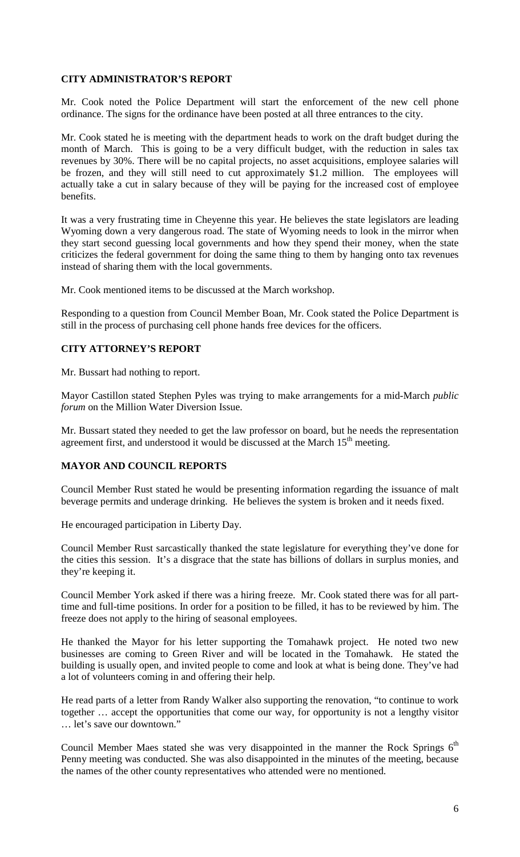# **CITY ADMINISTRATOR'S REPORT**

Mr. Cook noted the Police Department will start the enforcement of the new cell phone ordinance. The signs for the ordinance have been posted at all three entrances to the city.

Mr. Cook stated he is meeting with the department heads to work on the draft budget during the month of March. This is going to be a very difficult budget, with the reduction in sales tax revenues by 30%. There will be no capital projects, no asset acquisitions, employee salaries will be frozen, and they will still need to cut approximately \$1.2 million. The employees will actually take a cut in salary because of they will be paying for the increased cost of employee benefits.

It was a very frustrating time in Cheyenne this year. He believes the state legislators are leading Wyoming down a very dangerous road. The state of Wyoming needs to look in the mirror when they start second guessing local governments and how they spend their money, when the state criticizes the federal government for doing the same thing to them by hanging onto tax revenues instead of sharing them with the local governments.

Mr. Cook mentioned items to be discussed at the March workshop.

Responding to a question from Council Member Boan, Mr. Cook stated the Police Department is still in the process of purchasing cell phone hands free devices for the officers.

# **CITY ATTORNEY'S REPORT**

Mr. Bussart had nothing to report.

Mayor Castillon stated Stephen Pyles was trying to make arrangements for a mid-March *public forum* on the Million Water Diversion Issue.

Mr. Bussart stated they needed to get the law professor on board, but he needs the representation agreement first, and understood it would be discussed at the March  $15<sup>th</sup>$  meeting.

### **MAYOR AND COUNCIL REPORTS**

Council Member Rust stated he would be presenting information regarding the issuance of malt beverage permits and underage drinking. He believes the system is broken and it needs fixed.

He encouraged participation in Liberty Day.

Council Member Rust sarcastically thanked the state legislature for everything they've done for the cities this session. It's a disgrace that the state has billions of dollars in surplus monies, and they're keeping it.

Council Member York asked if there was a hiring freeze. Mr. Cook stated there was for all parttime and full-time positions. In order for a position to be filled, it has to be reviewed by him. The freeze does not apply to the hiring of seasonal employees.

He thanked the Mayor for his letter supporting the Tomahawk project. He noted two new businesses are coming to Green River and will be located in the Tomahawk. He stated the building is usually open, and invited people to come and look at what is being done. They've had a lot of volunteers coming in and offering their help.

He read parts of a letter from Randy Walker also supporting the renovation, "to continue to work together … accept the opportunities that come our way, for opportunity is not a lengthy visitor … let's save our downtown."

Council Member Maes stated she was very disappointed in the manner the Rock Springs  $6<sup>th</sup>$ Penny meeting was conducted. She was also disappointed in the minutes of the meeting, because the names of the other county representatives who attended were no mentioned.